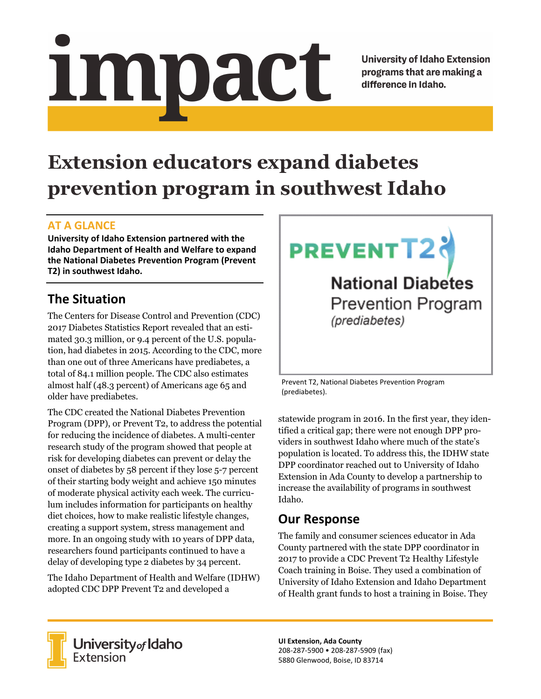Impact

**University of Idaho Extension** programs that are making a difference in Idaho.

# **Extension educators expand diabetes prevention program in southwest Idaho**

### **AT A GLANCE**

**University of Idaho Extension partnered with the Idaho Department of Health and Welfare to expand the National Diabetes Prevention Program (Prevent T2) in southwest Idaho.**

# **The Situation**

The Centers for Disease Control and Prevention (CDC) 2017 Diabetes Statistics Report revealed that an estimated 30.3 million, or 9.4 percent of the U.S. population, had diabetes in 2015. According to the CDC, more than one out of three Americans have prediabetes, a total of 84.1 million people. The CDC also estimates almost half (48.3 percent) of Americans age 65 and older have prediabetes.

The CDC created the National Diabetes Prevention Program (DPP), or Prevent T2, to address the potential for reducing the incidence of diabetes. A multi-center research study of the program showed that people at risk for developing diabetes can prevent or delay the onset of diabetes by 58 percent if they lose 5-7 percent of their starting body weight and achieve 150 minutes of moderate physical activity each week. The curriculum includes information for participants on healthy diet choices, how to make realistic lifestyle changes, creating a support system, stress management and more. In an ongoing study with 10 years of DPP data, researchers found participants continued to have a delay of developing type 2 diabetes by 34 percent.

The Idaho Department of Health and Welfare (IDHW) adopted CDC DPP Prevent T2 and developed a



**National Diabetes Prevention Program** (prediabetes)

Prevent T2, National Diabetes Prevention Program (prediabetes).

statewide program in 2016. In the first year, they identified a critical gap; there were not enough DPP providers in southwest Idaho where much of the state's population is located. To address this, the IDHW state DPP coordinator reached out to University of Idaho Extension in Ada County to develop a partnership to increase the availability of programs in southwest Idaho.

## **Our Response**

The family and consumer sciences educator in Ada County partnered with the state DPP coordinator in 2017 to provide a CDC Prevent T2 Healthy Lifestyle Coach training in Boise. They used a combination of University of Idaho Extension and Idaho Department of Health grant funds to host a training in Boise. They



University of Idaho<br>Extension

**UI Extension, Ada County** 208‐287‐5900 • 208‐287‐5909 (fax) 5880 Glenwood, Boise, ID 83714